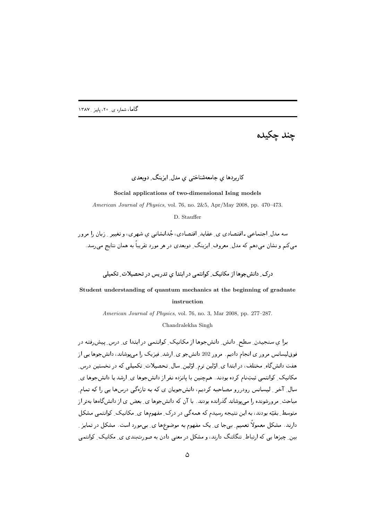

### کاربردها ي جامعهشناختي ي مدل ِ ايزينک ِ دوبعدي

#### **Social applications of two-dimensional Ising models**

*American Journal of Physics*, vol. 76, no. 2&5, Apr/May 2008, pp. 470–473.

D. Stauffer

- ي مي كان من المصدر المسترد المصدر المسترد المسترد المسترد المسترد المسترد المسترد المسترد المسترد المسترد ال سی تعلیم و تشان سی بعض که میزان ستروپ ِ پریتان ِ توسطی کر سر مورد شریع به مشان تعلیم می رسمه

در سال میکند از مسلم سال سال میکند و است می کند و است میکند که است میکند که است میگیرد. این مسلم میکند که از م

# **Student understanding of quantum mechanics at the beginning of graduate instruction**

*American Journal of Physics*, vol. 76, no. 3, Mar 2008, pp. 277–287.

Chandralekha Singh

بر پ سیست کے اس کے اس بار اس کا اس کا اس میں اس کے اس کے اس کے اس کے اس کے اس کے اس کے اس کے اس کے اس کے اس کے فوق\يسانس مرور ي انجام داديم. مرور 202 دانشجو ي\_ارشد\_ فيزيک را مي،يوشاند، دانشجوها يي از W2 &s 2 F / <RH/ - &?Q E"/ &?Q 2 Fs - ;=) ما يوسع المسلم المسلم المسلم المسلم المسلم المسلم المسلم المسلم المسلم المسلم المسلم المسلم المسلم المسلم المس E- / 2 
 - )W2 - / -- % 9
" I- 2 2 2 j- ? ">0 - سو سے مواج سوس کی پوسٹ میں بوت کی ہے۔ اس کے نامش جو سے اس کے باسکس کی اور اس کا اس کا ایک مواد  $\mathcal{L} = \{ \mathcal{L}^T \mid \mathcal{L}^T \mathcal{L}^T \mid \mathcal{L}^T \mathcal{L}^T \mathcal{L}^T \mathcal{L}^T \mathcal{L}^T \mathcal{L}^T \mathcal{L}^T \mathcal{L}^T \mathcal{L}^T \mathcal{L}^T \mathcal{L}^T \mathcal{L}^T \mathcal{L}^T \mathcal{L}^T \mathcal{L}^T \mathcal{L}^T \mathcal{L}^T \mathcal{L}^T \mathcal{L}^T \mathcal{L}^T \mathcal{L}^T \mathcal{L}^T \mathcal{L}^$  \$
-/ 2 ` '; 2 -)\_b E7= 4 -% 9D/ dS D ` '2 ساد المساوت المستقال المستقبل المستقبل المستقبل المستقبل المستقبل المستقبل المستقبل المستقبل المستقبل المستقبل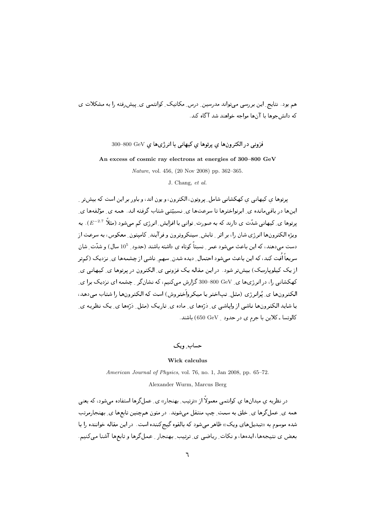حسن برجست المستخدم المستخدم المستخدم المستخدم المستخدم المستخدم المستخدم المستخدم المستخدم المستخدمات المستخدم م <del>بر د</del> پی اس برابرد به موسط است و د محمد ا  $\overline{\phantom{a}}$ 

## $300\text{--}800\,\,{\rm GeV}\,$ فزونی در الکترون ها ی پرتوها ی کیهانی با انرژی ها ی

**An excess of cosmic ray electrons at energies of 300–800 GeV**

*Nature*, vol. 456, (20 Nov 2008) pp. 362–365.

J. Chang, *et al.*

پر دی پی پی کے پارل کے بار کر کے بعد کا کہ اس کے اس کے اس کے اس کے اس کے اس کے اس کے اس کے اس کے اس کے اس کے ا لين ما در بالتي مانده الى ابرتر السرب به التر مانده الى السببيتي الله بالعربية العدة السبب الى الرئيسا ما ي یرتوها ی ِ کیهانی شدّت ی دارند که به صورت ِ توانی با افزایش ِ انرژی کم میشود (مثلا  $E^{-2.7}$ ). به ;O" W D - [- ( 0"5 - "/ " ( - / "Z " 2 -- 8 " -)- " ? + دست میدهند، که این باعث میشود عمر ِ نسبتا کوتاه ی داشته باشند (حدود ِ 10<sup>5</sup> سال) و شدّت ِ شان سر یک ایک تمک از پل با یک ایم شود استعان ِ دیگاه شدن ِ سهم ِ تاسیم ِ از شِسته ما ای اِ تردیات از سر از " ( يات خيلويا(بيات) بيس تر "ين بيس بيت يوت خروجي بي "تانسرون در يونونت بي تينها تي ن کهکشانی را، در انرژیها ی ِ 800–800 گزارش میکنیم، که نشانگر ِ چشمه ای نزدیک برا ی ِ العصرون ما بي تر الرزي السن التجا السلوانيا الميانيروا السروس ) الميات الباحثيرون ما ان الميانيا التي التي الم ا المستقال المستقال المستقال المستقال المستقال المستقال المستقال المستقال المستقال المستقل المستقل المستقل الم كالوتسا ـ كلاين با جرم ي در حدود \_ 650 650) باشند.

 $\sim$  9:  $\sim$  9:  $\sim$  9:  $\sim$  9:  $\sim$  9:  $\sim$  9:  $\sim$  9:  $\sim$  9:  $\sim$  9:  $\sim$  9:  $\sim$  9:  $\sim$  9:  $\sim$  9:  $\sim$  9:  $\sim$  9:  $\sim$  9:  $\sim$  9:  $\sim$  9:  $\sim$  9:  $\sim$  9:  $\sim$  9:  $\sim$  9:  $\sim$  9:  $\sim$  9:  $\sim$  9:  $\sim$  9:  $\sim$  9:  $\sim$ 

#### **Wick calculus**

*American Journal of Physics*, vol. 76, no. 1, Jan 2008, pp. 65–72.

Alexander Wurm, Marcus Berg

در تصريه ي ميدان ما ي توانسي معموم از «ترتيب-ِ بهتجار» ي ـ حمل ترما استفاده مي مود، به يعني مست کی حسن ترت کی حسن به مست حیث مست می شود، در متنزل مسیحین تابین کی مست از منتظر - 2 ( > ?-: &
 2 '; ( (v :?-  ")-} g4
 -)` /h E  المسر، بن تمهم المسر، و تحت - ( يا تمهم الي الرئيسي المسر، المسر، الرئيس المسر، المسر، المسر، المسر، المسر، ال